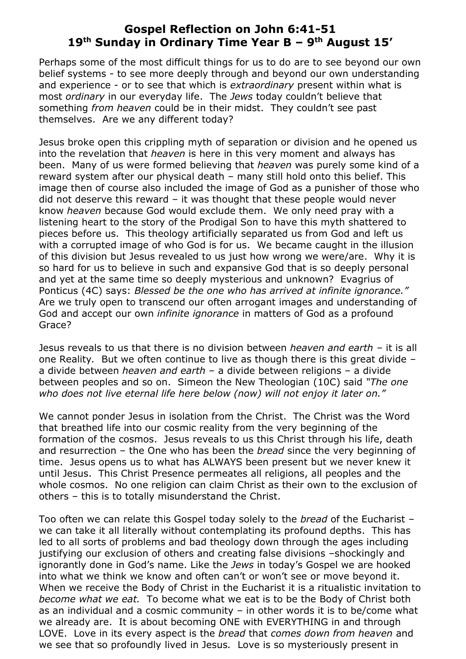## **Gospel Reflection on John 6:41-51 19 th Sunday in Ordinary Time Year B – 9 th August 15'**

Perhaps some of the most difficult things for us to do are to see beyond our own belief systems - to see more deeply through and beyond our own understanding and experience - or to see that which is *extraordinary* present within what is most *ordinary* in our everyday life. The *Jews* today couldn't believe that something *from heaven* could be in their midst. They couldn't see past themselves. Are we any different today?

Jesus broke open this crippling myth of separation or division and he opened us into the revelation that *heaven* is here in this very moment and always has been. Many of us were formed believing that *heaven* was purely some kind of a reward system after our physical death – many still hold onto this belief. This image then of course also included the image of God as a punisher of those who did not deserve this reward – it was thought that these people would never know *heaven* because God would exclude them. We only need pray with a listening heart to the story of the Prodigal Son to have this myth shattered to pieces before us. This theology artificially separated us from God and left us with a corrupted image of who God is for us. We became caught in the illusion of this division but Jesus revealed to us just how wrong we were/are. Why it is so hard for us to believe in such and expansive God that is so deeply personal and yet at the same time so deeply mysterious and unknown? Evagrius of Ponticus (4C) says: *Blessed be the one who has arrived at infinite ignorance."* Are we truly open to transcend our often arrogant images and understanding of God and accept our own *infinite ignorance* in matters of God as a profound Grace?

Jesus reveals to us that there is no division between *heaven and earth –* it is all one Reality*.* But we often continue to live as though there is this great divide – a divide between *heaven and earth* – a divide between religions – a divide between peoples and so on. Simeon the New Theologian (10C) said *"The one who does not live eternal life here below (now) will not enjoy it later on."* 

We cannot ponder Jesus in isolation from the Christ. The Christ was the Word that breathed life into our cosmic reality from the very beginning of the formation of the cosmos. Jesus reveals to us this Christ through his life, death and resurrection – the One who has been the *bread* since the very beginning of time. Jesus opens us to what has ALWAYS been present but we never knew it until Jesus. This Christ Presence permeates all religions, all peoples and the whole cosmos. No one religion can claim Christ as their own to the exclusion of others – this is to totally misunderstand the Christ.

Too often we can relate this Gospel today solely to the *bread* of the Eucharist – we can take it all literally without contemplating its profound depths. This has led to all sorts of problems and bad theology down through the ages including justifying our exclusion of others and creating false divisions –shockingly and ignorantly done in God's name. Like the *Jews* in today's Gospel we are hooked into what we think we know and often can't or won't see or move beyond it. When we receive the Body of Christ in the Eucharist it is a ritualistic invitation to *become what we eat.* To become what we eat is to be the Body of Christ both as an individual and a cosmic community – in other words it is to be/come what we already are. It is about becoming ONE with EVERYTHING in and through LOVE. Love in its every aspect is the *bread* that *comes down from heaven* and we see that so profoundly lived in Jesus*.* Love is so mysteriously present in